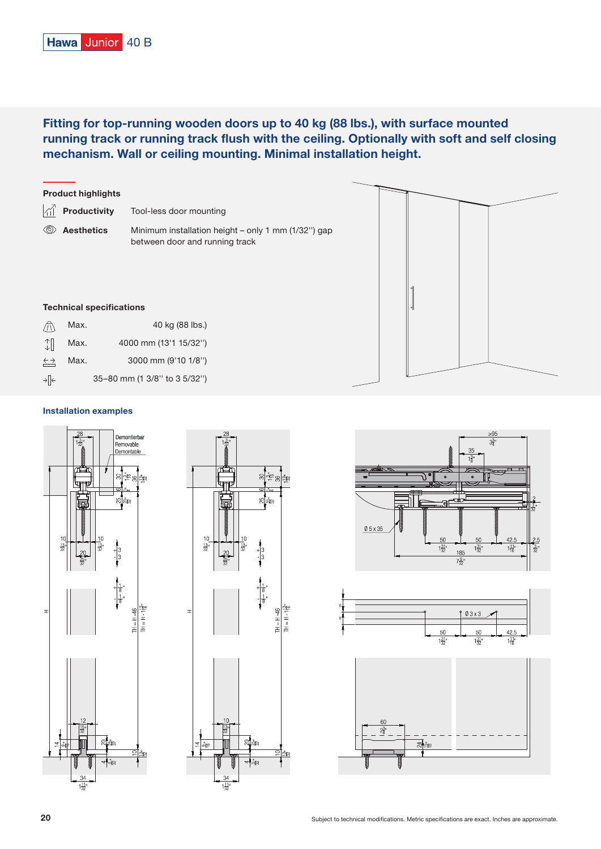# Fitting for top-running wooden doors up to 40 kg (88 lbs.), with surface mounted running track or running track flush with the ceiling. Optionally with soft and self closing mechanism. Wall or ceiling mounting. Minimal installation height.



## Installation examples

 $\rightarrow$   $\left\uparrow$ 

35–80 mm (1 3/8'' to 3 5/32'')









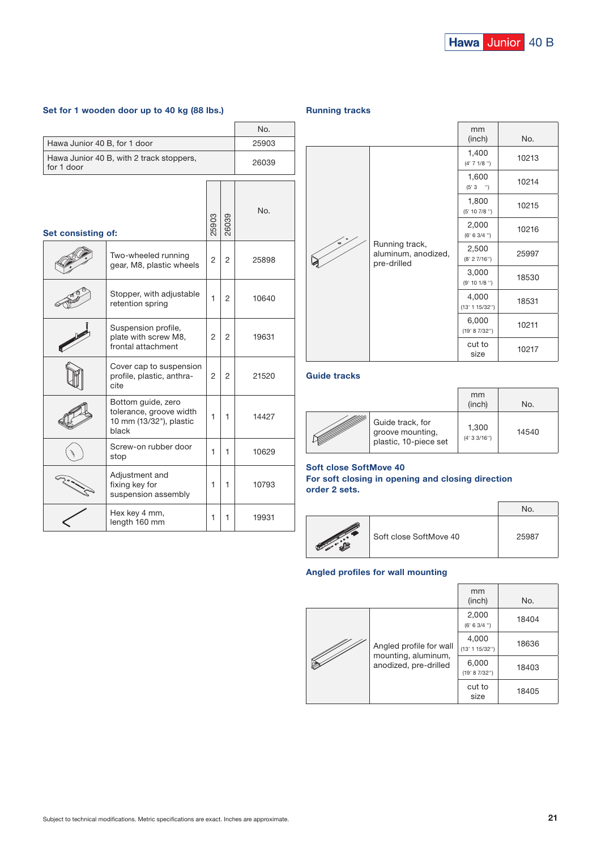# Set for 1 wooden door up to 40 kg (88 lbs.)

|                                                        |                                                                                   |       |       | No.   |
|--------------------------------------------------------|-----------------------------------------------------------------------------------|-------|-------|-------|
| Hawa Junior 40 B, for 1 door                           |                                                                                   |       | 25903 |       |
| Hawa Junior 40 B, with 2 track stoppers,<br>for 1 door |                                                                                   |       | 26039 |       |
| Set consisting of:                                     |                                                                                   | 25903 | 26039 | No.   |
|                                                        | Two-wheeled running<br>gear, M8, plastic wheels                                   | 2     | 2     | 25898 |
|                                                        | Stopper, with adjustable<br>retention spring                                      | 1     | 2     | 10640 |
|                                                        | Suspension profile,<br>plate with screw M8,<br>frontal attachment                 | 2     | 2     | 19631 |
|                                                        | Cover cap to suspension<br>profile, plastic, anthra-<br>cite                      | 2     | 2     | 21520 |
|                                                        | Bottom guide, zero<br>tolerance, groove width<br>10 mm (13/32"), plastic<br>black | 1     | 1     | 14427 |
|                                                        | Screw-on rubber door<br>stop                                                      | 1     | 1     | 10629 |
|                                                        | Adjustment and<br>fixing key for<br>suspension assembly                           | 1     | 1     | 10793 |
|                                                        | Hex key 4 mm,<br>length 160 mm                                                    | 1     | 1     | 19931 |

#### Running tracks



# Guide tracks

|                                                               | mm<br>(inch)           | No.   |  |
|---------------------------------------------------------------|------------------------|-------|--|
| Guide track, for<br>groove mounting,<br>plastic, 10-piece set | 1,300<br>(4' 3 3/16'') | 14540 |  |

### Soft close SoftMove 40

#### For soft closing in opening and closing direction order 2 sets.

|                        | <b>No</b> |
|------------------------|-----------|
| Soft close SoftMove 40 | 25987     |

 $\overline{1}$ 

# Angled profiles for wall mounting

|                                                                         | mm<br>(inch)            | No.   |
|-------------------------------------------------------------------------|-------------------------|-------|
| Angled profile for wall<br>mounting, aluminum,<br>anodized, pre-drilled | 2,000<br>(6' 6 3/4'')   | 18404 |
|                                                                         | 4,000<br>(13' 1 15/32") | 18636 |
|                                                                         | 6,000<br>(19' 8 7/32")  | 18403 |
|                                                                         | cut to<br>size          | 18405 |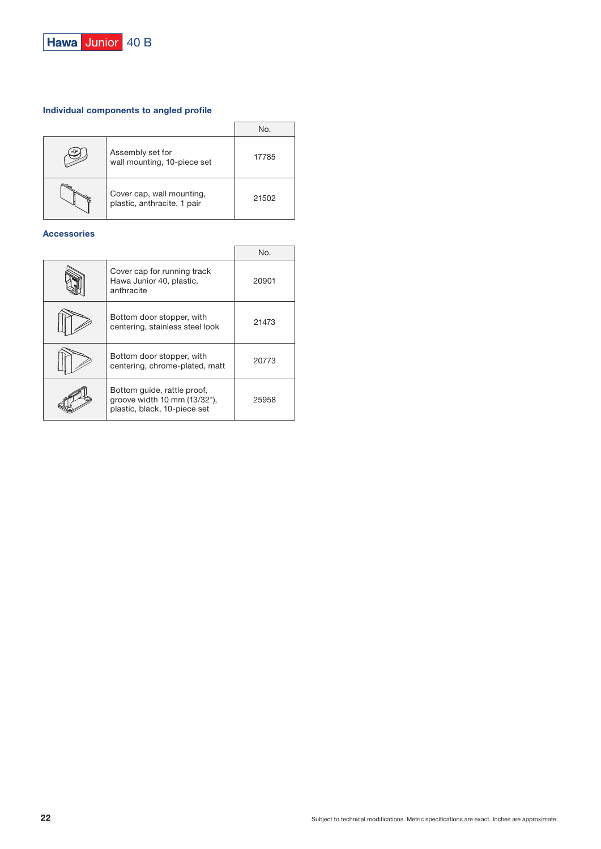

# Individual components to angled profile

|    |                                                          | No.   |
|----|----------------------------------------------------------|-------|
| d۲ | Assembly set for<br>wall mounting, 10-piece set          | 17785 |
|    | Cover cap, wall mounting,<br>plastic, anthracite, 1 pair | 21502 |

# Accessories

|                                                                                             | No.   |
|---------------------------------------------------------------------------------------------|-------|
| Cover cap for running track<br>Hawa Junior 40, plastic,<br>anthracite                       | 20901 |
| Bottom door stopper, with<br>centering, stainless steel look                                | 21473 |
| Bottom door stopper, with<br>centering, chrome-plated, matt                                 | 20773 |
| Bottom quide, rattle proof,<br>groove width 10 mm (13/32"),<br>plastic, black, 10-piece set | 25958 |